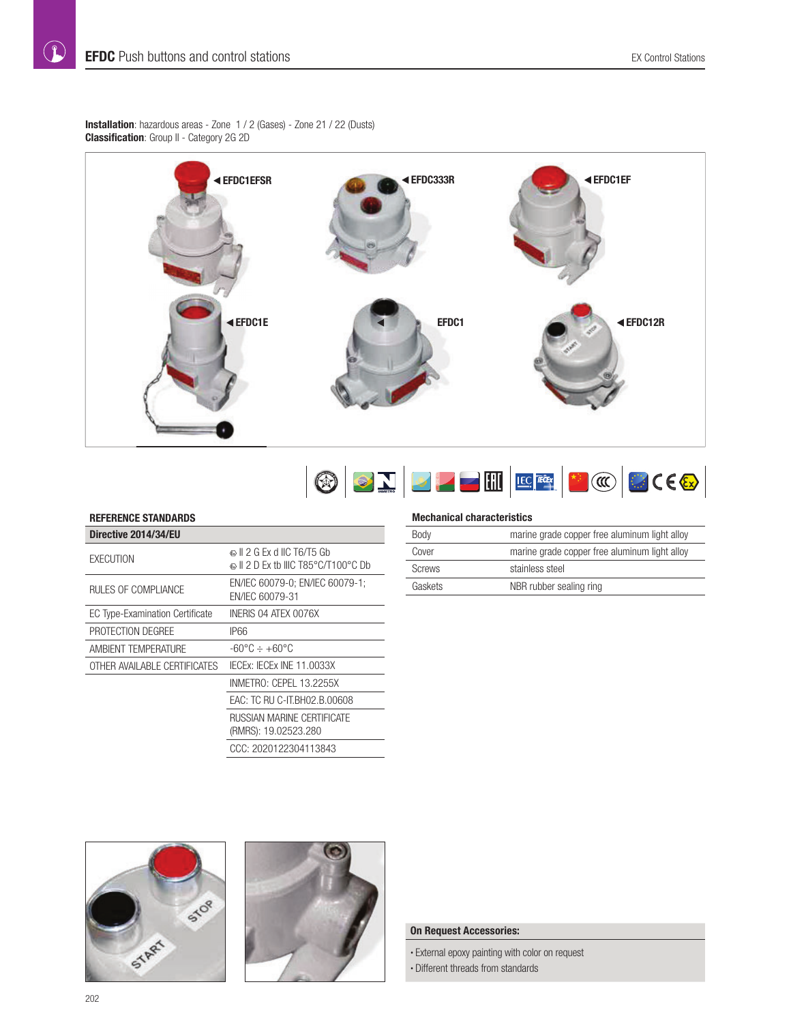**Installation**: hazardous areas - Zone 1 / 2 (Gases) - Zone 21 / 22 (Dusts) **Classification**: Group II - Category 2G 2D





## **REFERENCE STANDARDS**

| Directive 2014/34/EU                   |                                                               |
|----------------------------------------|---------------------------------------------------------------|
| <b>FXFCLITION</b>                      | ல∥ 2 G Ex d IIC T6/T5 Gb<br>ல∥ 2 D Ex tb IIIC T85°C/T100°C Db |
| RULES OF COMPLIANCE                    | EN/IEC 60079-0; EN/IEC 60079-1;<br>FN/IFC 60079-31            |
| <b>EC Type-Examination Certificate</b> | INERIS 04 ATEX 0076X                                          |
| PROTECTION DEGREE                      | IP66                                                          |
| AMBIENT TEMPERATURE                    | -60°C ÷ +60°C                                                 |
| OTHER AVAILABLE CERTIFICATES           | IECEX: IECEX INE 11.0033X                                     |
|                                        | INMETRO: CEPEL 13.2255X                                       |
|                                        | EAC: TC RU C-IT.BH02.B.00608                                  |
|                                        | RUSSIAN MARINE CERTIFICATE<br>(RMRS): 19.02523.280            |
|                                        | CCC: 2020122304113843                                         |

#### **Mechanical characteristics**

| marine grade copper free aluminum light alloy<br>Body |                                               |  |
|-------------------------------------------------------|-----------------------------------------------|--|
| Cover                                                 | marine grade copper free aluminum light alloy |  |
| <b>Screws</b>                                         | stainless steel                               |  |
| Gaskets                                               | NBR rubber sealing ring                       |  |





## **On Request Accessories:**

• External epoxy painting with color on request • Different threads from standards